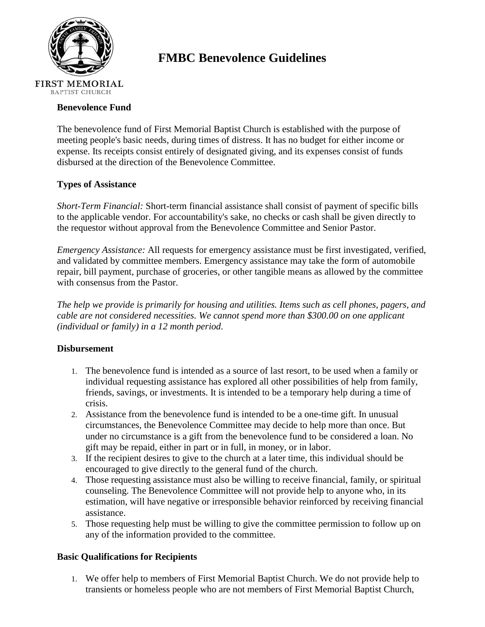

# **FMBC Benevolence Guidelines**

#### **Benevolence Fund**

The benevolence fund of First Memorial Baptist Church is established with the purpose of meeting people's basic needs, during times of distress. It has no budget for either income or expense. Its receipts consist entirely of designated giving, and its expenses consist of funds disbursed at the direction of the Benevolence Committee.

### **Types of Assistance**

*Short-Term Financial:* Short-term financial assistance shall consist of payment of specific bills to the applicable vendor. For accountability's sake, no checks or cash shall be given directly to the requestor without approval from the Benevolence Committee and Senior Pastor.

*Emergency Assistance:* All requests for emergency assistance must be first investigated, verified, and validated by committee members. Emergency assistance may take the form of automobile repair, bill payment, purchase of groceries, or other tangible means as allowed by the committee with consensus from the Pastor.

*The help we provide is primarily for housing and utilities. Items such as cell phones, pagers, and cable are not considered necessities. We cannot spend more than \$300.00 on one applicant (individual or family) in a 12 month period.*

### **Disbursement**

- 1. The benevolence fund is intended as a source of last resort, to be used when a family or individual requesting assistance has explored all other possibilities of help from family, friends, savings, or investments. It is intended to be a temporary help during a time of crisis.
- 2. Assistance from the benevolence fund is intended to be a one-time gift. In unusual circumstances, the Benevolence Committee may decide to help more than once. But under no circumstance is a gift from the benevolence fund to be considered a loan. No gift may be repaid, either in part or in full, in money, or in labor.
- 3. If the recipient desires to give to the church at a later time, this individual should be encouraged to give directly to the general fund of the church.
- 4. Those requesting assistance must also be willing to receive financial, family, or spiritual counseling. The Benevolence Committee will not provide help to anyone who, in its estimation, will have negative or irresponsible behavior reinforced by receiving financial assistance.
- 5. Those requesting help must be willing to give the committee permission to follow up on any of the information provided to the committee.

### **Basic Qualifications for Recipients**

1. We offer help to members of First Memorial Baptist Church. We do not provide help to transients or homeless people who are not members of First Memorial Baptist Church,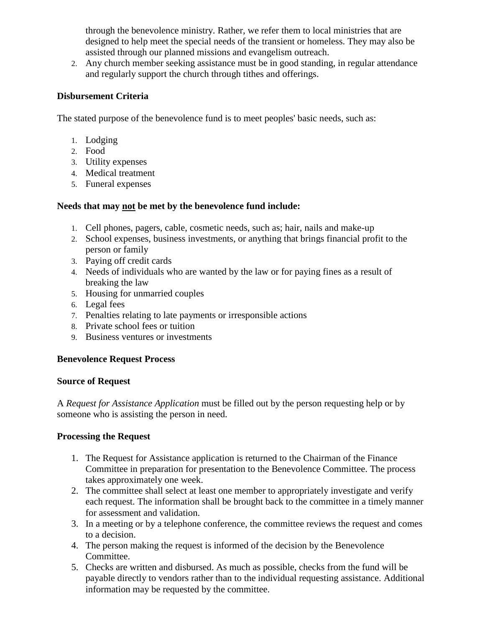through the benevolence ministry. Rather, we refer them to local ministries that are designed to help meet the special needs of the transient or homeless. They may also be assisted through our planned missions and evangelism outreach.

2. Any church member seeking assistance must be in good standing, in regular attendance and regularly support the church through tithes and offerings.

## **Disbursement Criteria**

The stated purpose of the benevolence fund is to meet peoples' basic needs, such as:

- 1. Lodging
- 2. Food
- 3. Utility expenses
- 4. Medical treatment
- 5. Funeral expenses

### **Needs that may not be met by the benevolence fund include:**

- 1. Cell phones, pagers, cable, cosmetic needs, such as; hair, nails and make-up
- 2. School expenses, business investments, or anything that brings financial profit to the person or family
- 3. Paying off credit cards
- 4. Needs of individuals who are wanted by the law or for paying fines as a result of breaking the law
- 5. Housing for unmarried couples
- 6. Legal fees
- 7. Penalties relating to late payments or irresponsible actions
- 8. Private school fees or tuition
- 9. Business ventures or investments

### **Benevolence Request Process**

### **Source of Request**

A *Request for Assistance Application* must be filled out by the person requesting help or by someone who is assisting the person in need.

### **Processing the Request**

- 1. The Request for Assistance application is returned to the Chairman of the Finance Committee in preparation for presentation to the Benevolence Committee. The process takes approximately one week.
- 2. The committee shall select at least one member to appropriately investigate and verify each request. The information shall be brought back to the committee in a timely manner for assessment and validation.
- 3. In a meeting or by a telephone conference, the committee reviews the request and comes to a decision.
- 4. The person making the request is informed of the decision by the Benevolence Committee.
- 5. Checks are written and disbursed. As much as possible, checks from the fund will be payable directly to vendors rather than to the individual requesting assistance. Additional information may be requested by the committee.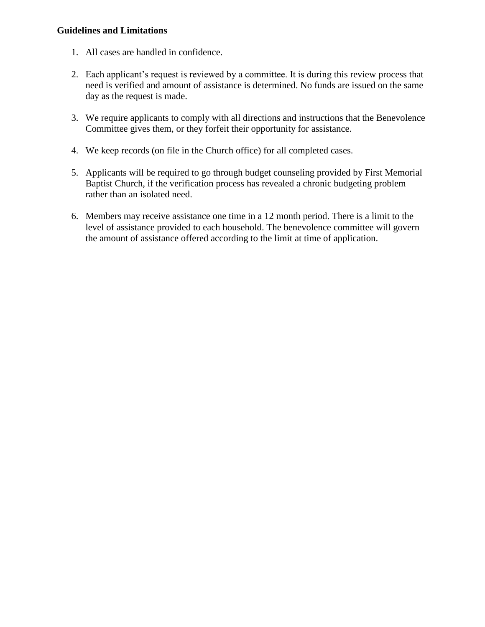#### **Guidelines and Limitations**

- 1. All cases are handled in confidence.
- 2. Each applicant's request is reviewed by a committee. It is during this review process that need is verified and amount of assistance is determined. No funds are issued on the same day as the request is made.
- 3. We require applicants to comply with all directions and instructions that the Benevolence Committee gives them, or they forfeit their opportunity for assistance.
- 4. We keep records (on file in the Church office) for all completed cases.
- 5. Applicants will be required to go through budget counseling provided by First Memorial Baptist Church, if the verification process has revealed a chronic budgeting problem rather than an isolated need.
- 6. Members may receive assistance one time in a 12 month period. There is a limit to the level of assistance provided to each household. The benevolence committee will govern the amount of assistance offered according to the limit at time of application.